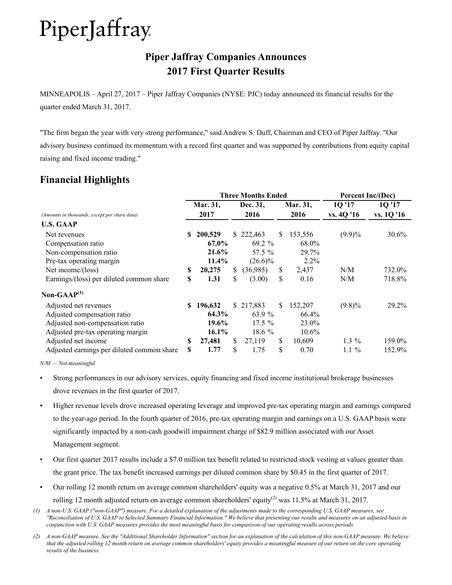## **Piper Jaffray Companies Announces 2017 First Quarter Results**

MINNEAPOLIS – April 27, 2017 – Piper Jaffray Companies (NYSE: PJC) today announced its financial results for the quarter ended March 31, 2017.

"The firm began the year with very strong performance," said Andrew S. Duff, Chairman and CEO of Piper Jaffray. "Our advisory business continued its momentum with a record first quarter and was supported by contributions from equity capital raising and fixed income trading."

## **Financial Highlights**

|                                                                                                                              |    |                                    |                  | <b>Three Months Ended</b>                    | <b>Percent Inc/(Dec)</b> |                                       |                      |                      |
|------------------------------------------------------------------------------------------------------------------------------|----|------------------------------------|------------------|----------------------------------------------|--------------------------|---------------------------------------|----------------------|----------------------|
| (Amounts in thousands, except per share data)                                                                                |    | Mar. 31,<br>2017                   | Dec. 31,<br>2016 |                                              |                          | Mar. 31,<br>2016                      | 1Q '17<br>vs. 4Q '16 | 1Q '17<br>vs. 1Q '16 |
| <b>U.S. GAAP</b>                                                                                                             |    |                                    |                  |                                              |                          |                                       |                      |                      |
| Net revenues<br>Compensation ratio<br>Non-compensation ratio<br>Pre-tax operating margin                                     | S. | 200,529<br>67.0%<br>21.6%<br>11.4% | S.               | 222,463<br>$69.2 \%$<br>57.5 %<br>$(26.6)\%$ | \$.                      | 153,556<br>68.0%<br>29.7%<br>$2.2\%$  | $(9.9)\%$            | 30.6%                |
| Net income/(loss)                                                                                                            | \$ | 20,275                             | \$               | (36,985)                                     | \$                       | 2,437                                 | N/M                  | 732.0%               |
| Earnings/(loss) per diluted common share                                                                                     | \$ | 1.31                               | \$               | (3.00)                                       | \$                       | 0.16                                  | N/M                  | 718.8%               |
| Non-GAA $P^{(1)}$                                                                                                            |    |                                    |                  |                                              |                          |                                       |                      |                      |
| Adjusted net revenues<br>Adjusted compensation ratio<br>Adjusted non-compensation ratio<br>Adjusted pre-tax operating margin | S. | 196,632<br>64.3%<br>19.6%<br>16.1% |                  | \$217,883<br>63.9 %<br>$17.5\%$<br>$18.6\%$  | \$.                      | 152,207<br>66.4%<br>23.0%<br>$10.6\%$ | $(9.8)\%$            | 29.2%                |
| Adjusted net income                                                                                                          | S  | 27,481                             | \$               | 27,119                                       | \$                       | 10,609                                | $1.3\%$              | 159.0%               |
| Adjusted earnings per diluted common share                                                                                   | S  | 1.77                               | \$               | 1.75                                         | \$                       | 0.70                                  | $1.1\%$              | 152.9%               |

*N/M — Not meaningful*

- Strong performances in our advisory services, equity financing and fixed income institutional brokerage businesses drove revenues in the first quarter of 2017.
- Higher revenue levels drove increased operating leverage and improved pre-tax operating margin and earnings compared to the year-ago period. In the fourth quarter of 2016, pre-tax operating margin and earnings on a U.S. GAAP basis were significantly impacted by a non-cash goodwill impairment charge of \$82.9 million associated with our Asset Management segment.
- Our first quarter 2017 results include a \$7.0 million tax benefit related to restricted stock vesting at values greater than the grant price. The tax benefit increased earnings per diluted common share by \$0.45 in the first quarter of 2017.
- Our rolling 12 month return on average common shareholders' equity was a negative 0.5% at March 31, 2017 and our rolling 12 month adjusted return on average common shareholders' equity<sup>(2)</sup> was 11.5% at March 31, 2017.
- *(1) A non-U.S. GAAP ("non-GAAP") measure. For a detailed explanation of the adjustments made to the corresponding U.S. GAAP measures, see "Reconciliation of U.S. GAAP to Selected Summary Financial Information." We believe that presenting our results and measures on an adjusted basis in conjunction with U.S. GAAP measures provides the most meaningful basis for comparison of our operating results across periods.*
- *(2) A non-GAAP measure. See the "Additional Shareholder Information" section for an explanation of the calculation of this non-GAAP measure. We believe that the adjusted rolling 12 month return on average common shareholders' equity provides a meaningful measure of our return on the core operating results of the business.*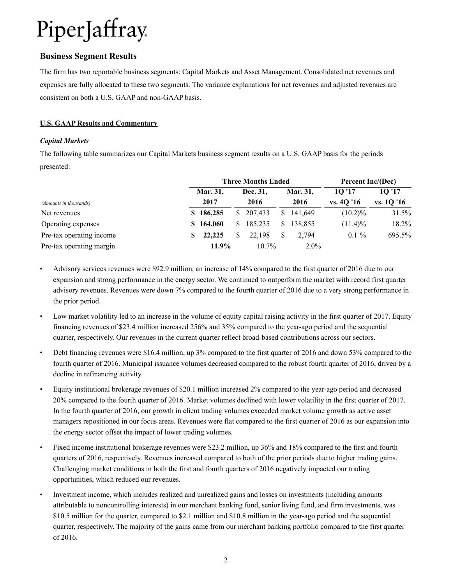### **Business Segment Results**

The firm has two reportable business segments: Capital Markets and Asset Management. Consolidated net revenues and expenses are fully allocated to these two segments. The variance explanations for net revenues and adjusted revenues are consistent on both a U.S. GAAP and non-GAAP basis.

### **U.S. GAAP Results and Commentary**

#### *Capital Markets*

The following table summarizes our Capital Markets business segment results on a U.S. GAAP basis for the periods presented:

|                          |   |           | <b>Three Months Ended</b> | Percent Inc/(Dec) |          |            |                   |
|--------------------------|---|-----------|---------------------------|-------------------|----------|------------|-------------------|
|                          |   | Mar. 31,  | Dec. 31.                  |                   | Mar. 31, | 10'17      | 10 <sup>'17</sup> |
| (Amounts in thousands)   |   | 2017      | 2016                      |                   | 2016     | vs. 40 '16 | vs. 1Q '16        |
| Net revenues             |   | \$186,285 | \$207,433                 | S.                | 141.649  | $(10.2)\%$ | 31.5%             |
| Operating expenses       |   | \$164,060 | 185.235                   | S.                | 138.855  | $(11.4)\%$ | 18.2%             |
| Pre-tax operating income | S | 22,225    | 22.198                    |                   | 2.794    | $0.1 \%$   | 695.5%            |
| Pre-tax operating margin |   | 11.9%     | $10.7\%$                  |                   | $2.0\%$  |            |                   |

- Advisory services revenues were \$92.9 million, an increase of 14% compared to the first quarter of 2016 due to our expansion and strong performance in the energy sector. We continued to outperform the market with record first quarter advisory revenues. Revenues were down 7% compared to the fourth quarter of 2016 due to a very strong performance in the prior period.
- Low market volatility led to an increase in the volume of equity capital raising activity in the first quarter of 2017. Equity financing revenues of \$23.4 million increased 256% and 35% compared to the year-ago period and the sequential quarter, respectively. Our revenues in the current quarter reflect broad-based contributions across our sectors.
- Debt financing revenues were \$16.4 million, up 3% compared to the first quarter of 2016 and down 53% compared to the fourth quarter of 2016. Municipal issuance volumes decreased compared to the robust fourth quarter of 2016, driven by a decline in refinancing activity.
- Equity institutional brokerage revenues of \$20.1 million increased 2% compared to the year-ago period and decreased 20% compared to the fourth quarter of 2016. Market volumes declined with lower volatility in the first quarter of 2017. In the fourth quarter of 2016, our growth in client trading volumes exceeded market volume growth as active asset managers repositioned in our focus areas. Revenues were flat compared to the first quarter of 2016 as our expansion into the energy sector offset the impact of lower trading volumes.
- Fixed income institutional brokerage revenues were \$23.2 million, up 36% and 18% compared to the first and fourth quarters of 2016, respectively. Revenues increased compared to both of the prior periods due to higher trading gains. Challenging market conditions in both the first and fourth quarters of 2016 negatively impacted our trading opportunities, which reduced our revenues.
- Investment income, which includes realized and unrealized gains and losses on investments (including amounts attributable to noncontrolling interests) in our merchant banking fund, senior living fund, and firm investments, was \$10.5 million for the quarter, compared to \$2.1 million and \$10.8 million in the year-ago period and the sequential quarter, respectively. The majority of the gains came from our merchant banking portfolio compared to the first quarter of 2016.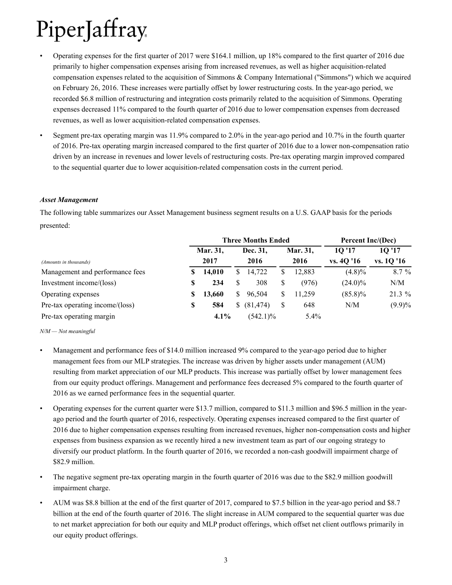- Operating expenses for the first quarter of 2017 were \$164.1 million, up 18% compared to the first quarter of 2016 due primarily to higher compensation expenses arising from increased revenues, as well as higher acquisition-related compensation expenses related to the acquisition of Simmons & Company International ("Simmons") which we acquired on February 26, 2016. These increases were partially offset by lower restructuring costs. In the year-ago period, we recorded \$6.8 million of restructuring and integration costs primarily related to the acquisition of Simmons. Operating expenses decreased 11% compared to the fourth quarter of 2016 due to lower compensation expenses from decreased revenues, as well as lower acquisition-related compensation expenses.
- Segment pre-tax operating margin was 11.9% compared to 2.0% in the year-ago period and 10.7% in the fourth quarter of 2016. Pre-tax operating margin increased compared to the first quarter of 2016 due to a lower non-compensation ratio driven by an increase in revenues and lower levels of restructuring costs. Pre-tax operating margin improved compared to the sequential quarter due to lower acquisition-related compensation costs in the current period.

#### *Asset Management*

The following table summarizes our Asset Management business segment results on a U.S. GAAP basis for the periods presented:

|                                      |          |    | <b>Three Months Ended</b> | Percent Inc/(Dec) |          |            |                   |
|--------------------------------------|----------|----|---------------------------|-------------------|----------|------------|-------------------|
|                                      | Mar. 31, |    | Dec. 31.                  |                   | Mar. 31, | 10'17      | 10 <sup>'17</sup> |
| (Amounts in thousands)               | 2017     |    | 2016                      |                   | 2016     | vs. 40 '16 | vs. 1Q '16        |
| Management and performance fees<br>S | 14,010   | S. | 14.722                    | \$                | 12.883   | $(4.8)\%$  | $8.7\%$           |
| Investment income/(loss)<br>S        | 234      | S  | 308                       | \$                | (976)    | $(24.0)\%$ | N/M               |
| Operating expenses<br>S              | 13,660   | S. | 96,504                    |                   | 11.259   | $(85.8)\%$ | $21.3\%$          |
| Pre-tax operating income/(loss)<br>S | 584      | S. | (81, 474)                 | S                 | 648      | N/M        | $(9.9)\%$         |
| Pre-tax operating margin             | $4.1\%$  |    | $(542.1)\%$               |                   | $5.4\%$  |            |                   |

#### *N/M — Not meaningful*

- Management and performance fees of \$14.0 million increased 9% compared to the year-ago period due to higher management fees from our MLP strategies. The increase was driven by higher assets under management (AUM) resulting from market appreciation of our MLP products. This increase was partially offset by lower management fees from our equity product offerings. Management and performance fees decreased 5% compared to the fourth quarter of 2016 as we earned performance fees in the sequential quarter.
- Operating expenses for the current quarter were \$13.7 million, compared to \$11.3 million and \$96.5 million in the yearago period and the fourth quarter of 2016, respectively. Operating expenses increased compared to the first quarter of 2016 due to higher compensation expenses resulting from increased revenues, higher non-compensation costs and higher expenses from business expansion as we recently hired a new investment team as part of our ongoing strategy to diversify our product platform. In the fourth quarter of 2016, we recorded a non-cash goodwill impairment charge of \$82.9 million.
- The negative segment pre-tax operating margin in the fourth quarter of 2016 was due to the \$82.9 million goodwill impairment charge.
- AUM was \$8.8 billion at the end of the first quarter of 2017, compared to \$7.5 billion in the year-ago period and \$8.7 billion at the end of the fourth quarter of 2016. The slight increase in AUM compared to the sequential quarter was due to net market appreciation for both our equity and MLP product offerings, which offset net client outflows primarily in our equity product offerings.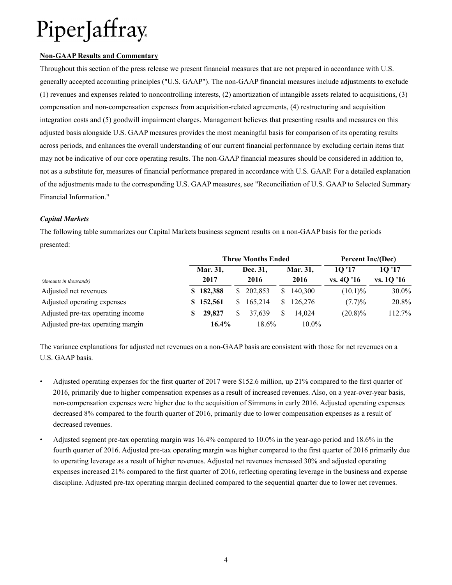#### **Non-GAAP Results and Commentary**

Throughout this section of the press release we present financial measures that are not prepared in accordance with U.S. generally accepted accounting principles ("U.S. GAAP"). The non-GAAP financial measures include adjustments to exclude (1) revenues and expenses related to noncontrolling interests, (2) amortization of intangible assets related to acquisitions, (3) compensation and non-compensation expenses from acquisition-related agreements, (4) restructuring and acquisition integration costs and (5) goodwill impairment charges. Management believes that presenting results and measures on this adjusted basis alongside U.S. GAAP measures provides the most meaningful basis for comparison of its operating results across periods, and enhances the overall understanding of our current financial performance by excluding certain items that may not be indicative of our core operating results. The non-GAAP financial measures should be considered in addition to, not as a substitute for, measures of financial performance prepared in accordance with U.S. GAAP. For a detailed explanation of the adjustments made to the corresponding U.S. GAAP measures, see "Reconciliation of U.S. GAAP to Selected Summary Financial Information."

#### *Capital Markets*

The following table summarizes our Capital Markets business segment results on a non-GAAP basis for the periods presented:

|                                   |   |                 |    | <b>Three Months Ended</b> | Percent Inc/(Dec) |          |            |                   |
|-----------------------------------|---|-----------------|----|---------------------------|-------------------|----------|------------|-------------------|
|                                   |   | <b>Mar. 31,</b> |    | Dec. 31.                  |                   | Mar. 31, | 10'17      | 10 <sup>'17</sup> |
| (Amounts in thousands)            |   | 2017            |    | 2016                      |                   | 2016     | vs. 40'16  | vs. 1Q '16        |
| Adjusted net revenues             |   | \$182,388       |    | \$202,853                 |                   | 140.300  | $(10.1)\%$ | 30.0%             |
| Adjusted operating expenses       |   | \$152,561       | S. | 165.214                   | S.                | 126,276  | (7.7)%     | 20.8%             |
| Adjusted pre-tax operating income | S | 29,827          |    | 37.639                    |                   | 14.024   | $(20.8)\%$ | 112.7%            |
| Adjusted pre-tax operating margin |   | $16.4\%$        |    | 18.6%                     |                   | $10.0\%$ |            |                   |

The variance explanations for adjusted net revenues on a non-GAAP basis are consistent with those for net revenues on a U.S. GAAP basis.

- Adjusted operating expenses for the first quarter of 2017 were \$152.6 million, up 21% compared to the first quarter of 2016, primarily due to higher compensation expenses as a result of increased revenues. Also, on a year-over-year basis, non-compensation expenses were higher due to the acquisition of Simmons in early 2016. Adjusted operating expenses decreased 8% compared to the fourth quarter of 2016, primarily due to lower compensation expenses as a result of decreased revenues.
- Adjusted segment pre-tax operating margin was 16.4% compared to 10.0% in the year-ago period and 18.6% in the fourth quarter of 2016. Adjusted pre-tax operating margin was higher compared to the first quarter of 2016 primarily due to operating leverage as a result of higher revenues. Adjusted net revenues increased 30% and adjusted operating expenses increased 21% compared to the first quarter of 2016, reflecting operating leverage in the business and expense discipline. Adjusted pre-tax operating margin declined compared to the sequential quarter due to lower net revenues.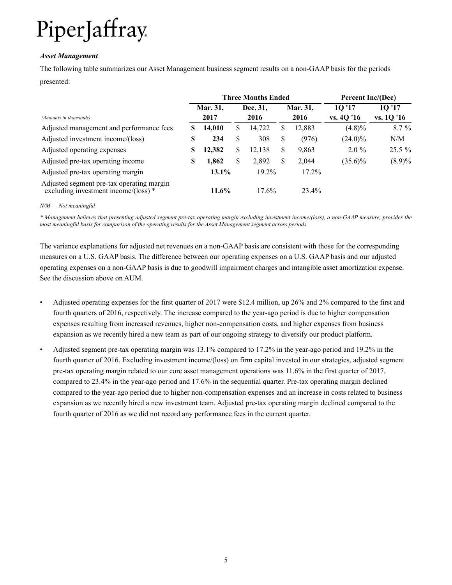#### *Asset Management*

The following table summarizes our Asset Management business segment results on a non-GAAP basis for the periods presented:

|                                                                                             | <b>Three Months Ended</b> |          |    |          |   |          | Percent Inc/(Dec) |                   |
|---------------------------------------------------------------------------------------------|---------------------------|----------|----|----------|---|----------|-------------------|-------------------|
|                                                                                             |                           | Mar. 31, |    | Dec. 31, |   | Mar. 31, | 10 <sup>'17</sup> | 10 <sup>'17</sup> |
| (Amounts in thousands)                                                                      |                           | 2017     |    | 2016     |   | 2016     | vs. 4Q '16        | vs. 1Q '16        |
| Adjusted management and performance fees                                                    | S                         | 14,010   | S  | 14,722   | S | 12,883   | $(4.8)\%$         | 8.7 %             |
| Adjusted investment income/(loss)                                                           | S                         | 234      | \$ | 308      | S | (976)    | $(24.0)\%$        | N/M               |
| Adjusted operating expenses                                                                 | S                         | 12,382   | \$ | 12.138   | S | 9,863    | $2.0\%$           | $25.5\%$          |
| Adjusted pre-tax operating income                                                           | S                         | 1,862    | S  | 2,892    | S | 2.044    | $(35.6)\%$        | $(8.9)\%$         |
| Adjusted pre-tax operating margin                                                           |                           | $13.1\%$ |    | 19.2%    |   | $17.2\%$ |                   |                   |
| Adjusted segment pre-tax operating margin<br>excluding investment income/ $(\text{loss})$ * |                           | $11.6\%$ |    | 17.6%    |   | 23.4%    |                   |                   |

#### *N/M — Not meaningful*

*\* Management believes that presenting adjusted segment pre-tax operating margin excluding investment income/(loss), a non-GAAP measure, provides the most meaningful basis for comparison of the operating results for the Asset Management segment across periods.* 

The variance explanations for adjusted net revenues on a non-GAAP basis are consistent with those for the corresponding measures on a U.S. GAAP basis. The difference between our operating expenses on a U.S. GAAP basis and our adjusted operating expenses on a non-GAAP basis is due to goodwill impairment charges and intangible asset amortization expense. See the discussion above on AUM.

- Adjusted operating expenses for the first quarter of 2017 were \$12.4 million, up 26% and 2% compared to the first and fourth quarters of 2016, respectively. The increase compared to the year-ago period is due to higher compensation expenses resulting from increased revenues, higher non-compensation costs, and higher expenses from business expansion as we recently hired a new team as part of our ongoing strategy to diversify our product platform.
- Adjusted segment pre-tax operating margin was 13.1% compared to 17.2% in the year-ago period and 19.2% in the fourth quarter of 2016. Excluding investment income/(loss) on firm capital invested in our strategies, adjusted segment pre-tax operating margin related to our core asset management operations was 11.6% in the first quarter of 2017, compared to 23.4% in the year-ago period and 17.6% in the sequential quarter. Pre-tax operating margin declined compared to the year-ago period due to higher non-compensation expenses and an increase in costs related to business expansion as we recently hired a new investment team. Adjusted pre-tax operating margin declined compared to the fourth quarter of 2016 as we did not record any performance fees in the current quarter.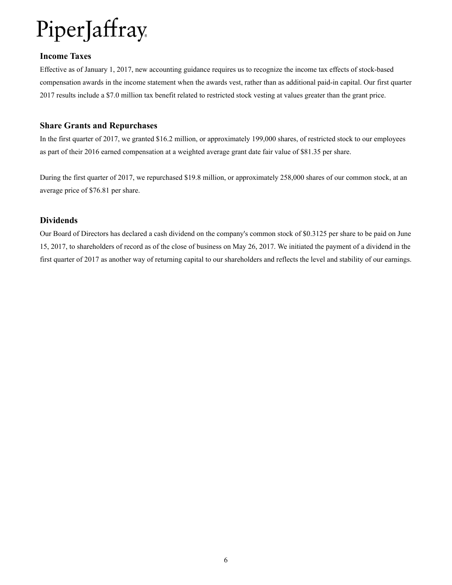### **Income Taxes**

Effective as of January 1, 2017, new accounting guidance requires us to recognize the income tax effects of stock-based compensation awards in the income statement when the awards vest, rather than as additional paid-in capital. Our first quarter 2017 results include a \$7.0 million tax benefit related to restricted stock vesting at values greater than the grant price.

### **Share Grants and Repurchases**

In the first quarter of 2017, we granted \$16.2 million, or approximately 199,000 shares, of restricted stock to our employees as part of their 2016 earned compensation at a weighted average grant date fair value of \$81.35 per share.

During the first quarter of 2017, we repurchased \$19.8 million, or approximately 258,000 shares of our common stock, at an average price of \$76.81 per share.

### **Dividends**

Our Board of Directors has declared a cash dividend on the company's common stock of \$0.3125 per share to be paid on June 15, 2017, to shareholders of record as of the close of business on May 26, 2017. We initiated the payment of a dividend in the first quarter of 2017 as another way of returning capital to our shareholders and reflects the level and stability of our earnings.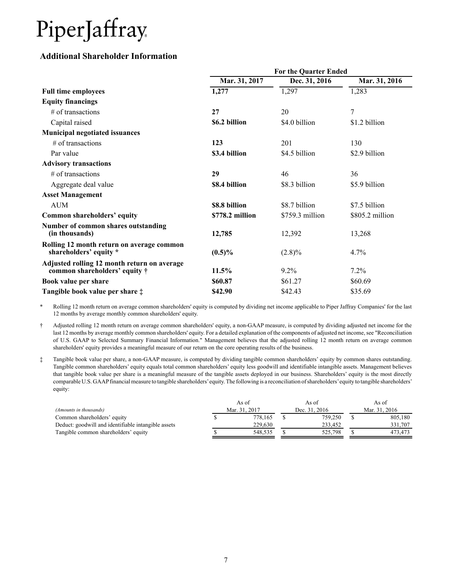### **Additional Shareholder Information**

|                                                                                      | <b>For the Quarter Ended</b> |                  |                 |  |  |  |  |  |  |  |
|--------------------------------------------------------------------------------------|------------------------------|------------------|-----------------|--|--|--|--|--|--|--|
|                                                                                      | Mar. 31, 2017                | Dec. 31, 2016    | Mar. 31, 2016   |  |  |  |  |  |  |  |
| <b>Full time employees</b>                                                           | 1,277                        | 1,297            | 1,283           |  |  |  |  |  |  |  |
| <b>Equity financings</b>                                                             |                              |                  |                 |  |  |  |  |  |  |  |
| # of transactions                                                                    | 27                           | 20               | 7               |  |  |  |  |  |  |  |
| Capital raised                                                                       | \$6.2 billion                | \$4.0 billion    | \$1.2 billion   |  |  |  |  |  |  |  |
| <b>Municipal negotiated issuances</b>                                                |                              |                  |                 |  |  |  |  |  |  |  |
| $#$ of transactions                                                                  | 123                          | 201              | 130             |  |  |  |  |  |  |  |
| Par value                                                                            | \$3.4 billion                | \$4.5 billion    | \$2.9 billion   |  |  |  |  |  |  |  |
| <b>Advisory transactions</b>                                                         |                              |                  |                 |  |  |  |  |  |  |  |
| $#$ of transactions                                                                  | 29                           | 46               | 36              |  |  |  |  |  |  |  |
| Aggregate deal value                                                                 | \$8.4 billion                | \$8.3 billion    | \$5.9 billion   |  |  |  |  |  |  |  |
| <b>Asset Management</b>                                                              |                              |                  |                 |  |  |  |  |  |  |  |
| <b>AUM</b>                                                                           | \$8.8 billion                | \$8.7 billion    | \$7.5 billion   |  |  |  |  |  |  |  |
| Common shareholders' equity                                                          | \$778.2 million              | $$759.3$ million | \$805.2 million |  |  |  |  |  |  |  |
| Number of common shares outstanding<br>(in thousands)                                | 12,785                       | 12,392           | 13,268          |  |  |  |  |  |  |  |
| Rolling 12 month return on average common<br>shareholders' equity *                  | $(0.5)\%$                    | $(2.8)\%$        | $4.7\%$         |  |  |  |  |  |  |  |
| Adjusted rolling 12 month return on average<br>common shareholders' equity $\dagger$ | 11.5%                        | $9.2\%$          | 7.2%            |  |  |  |  |  |  |  |
| Book value per share                                                                 | \$60.87                      | \$61.27          | \$60.69         |  |  |  |  |  |  |  |
| Tangible book value per share $\ddagger$                                             | \$42.90                      | \$42.43          | \$35.69         |  |  |  |  |  |  |  |

\* Rolling 12 month return on average common shareholders' equity is computed by dividing net income applicable to Piper Jaffray Companies' for the last 12 months by average monthly common shareholders' equity.

† Adjusted rolling 12 month return on average common shareholders' equity, a non-GAAP measure, is computed by dividing adjusted net income for the last 12 months by average monthly common shareholders' equity. For a detailed explanation of the components of adjusted net income, see "Reconciliation of U.S. GAAP to Selected Summary Financial Information." Management believes that the adjusted rolling 12 month return on average common shareholders' equity provides a meaningful measure of our return on the core operating results of the business.

‡ Tangible book value per share, a non-GAAP measure, is computed by dividing tangible common shareholders' equity by common shares outstanding. Tangible common shareholders' equity equals total common shareholders' equity less goodwill and identifiable intangible assets. Management believes that tangible book value per share is a meaningful measure of the tangible assets deployed in our business. Shareholders' equity is the most directly comparable U.S. GAAPfinancial measure to tangible shareholders'equity. The following is a reconciliation of shareholders'equity to tangible shareholders' equity:

|                                                     | As of         | As of         | As of         |
|-----------------------------------------------------|---------------|---------------|---------------|
| (Amounts in thousands)                              | Mar. 31, 2017 | Dec. 31, 2016 | Mar. 31, 2016 |
| Common shareholders' equity                         | 778.165       | 759,250       | 805.180       |
| Deduct: goodwill and identifiable intangible assets | 229.630       | 233.452       | 331.707       |
| Tangible common shareholders' equity                | 548.535       | 525.798       | 473.473       |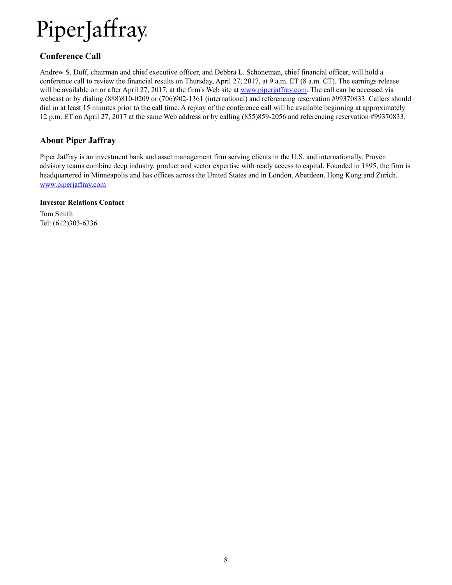## **Conference Call**

Andrew S. Duff, chairman and chief executive officer, and Debbra L. Schoneman, chief financial officer, will hold a conference call to review the financial results on Thursday, April 27, 2017, at 9 a.m. ET (8 a.m. CT). The earnings release will be available on or after April 27, 2017, at the firm's Web site at www.piperjaffray.com. The call can be accessed via webcast or by dialing (888)810-0209 or (706)902-1361 (international) and referencing reservation #99370833. Callers should dial in at least 15 minutes prior to the call time. A replay of the conference call will be available beginning at approximately 12 p.m. ET on April 27, 2017 at the same Web address or by calling (855)859-2056 and referencing reservation #99370833.

### **About Piper Jaffray**

Piper Jaffray is an investment bank and asset management firm serving clients in the U.S. and internationally. Proven advisory teams combine deep industry, product and sector expertise with ready access to capital. Founded in 1895, the firm is headquartered in Minneapolis and has offices across the United States and in London, Aberdeen, Hong Kong and Zurich. www.piperjaffray.com

#### **Investor Relations Contact**

Tom Smith Tel: (612)303-6336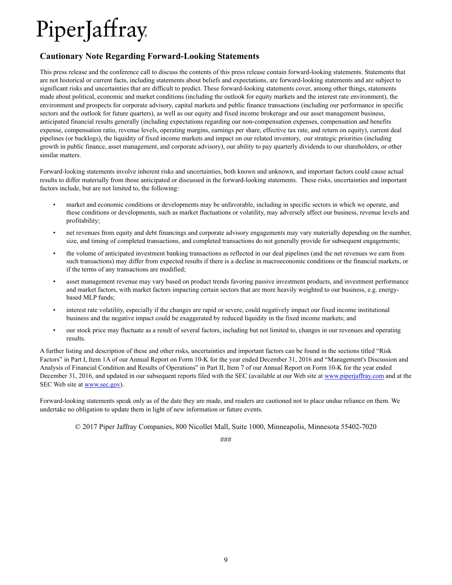## **Cautionary Note Regarding Forward-Looking Statements**

This press release and the conference call to discuss the contents of this press release contain forward-looking statements. Statements that are not historical or current facts, including statements about beliefs and expectations, are forward-looking statements and are subject to significant risks and uncertainties that are difficult to predict. These forward-looking statements cover, among other things, statements made about political, economic and market conditions (including the outlook for equity markets and the interest rate environment), the environment and prospects for corporate advisory, capital markets and public finance transactions (including our performance in specific sectors and the outlook for future quarters), as well as our equity and fixed income brokerage and our asset management business, anticipated financial results generally (including expectations regarding our non-compensation expenses, compensation and benefits expense, compensation ratio, revenue levels, operating margins, earnings per share, effective tax rate, and return on equity), current deal pipelines (or backlogs), the liquidity of fixed income markets and impact on our related inventory, our strategic priorities (including growth in public finance, asset management, and corporate advisory), our ability to pay quarterly dividends to our shareholders, or other similar matters.

Forward-looking statements involve inherent risks and uncertainties, both known and unknown, and important factors could cause actual results to differ materially from those anticipated or discussed in the forward-looking statements. These risks, uncertainties and important factors include, but are not limited to, the following:

- market and economic conditions or developments may be unfavorable, including in specific sectors in which we operate, and these conditions or developments, such as market fluctuations or volatility, may adversely affect our business, revenue levels and profitability;
- net revenues from equity and debt financings and corporate advisory engagements may vary materially depending on the number, size, and timing of completed transactions, and completed transactions do not generally provide for subsequent engagements;
- the volume of anticipated investment banking transactions as reflected in our deal pipelines (and the net revenues we earn from such transactions) may differ from expected results if there is a decline in macroeconomic conditions or the financial markets, or if the terms of any transactions are modified;
- asset management revenue may vary based on product trends favoring passive investment products, and investment performance and market factors, with market factors impacting certain sectors that are more heavily weighted to our business, e.g. energybased MLP funds;
- interest rate volatility, especially if the changes are rapid or severe, could negatively impact our fixed income institutional business and the negative impact could be exaggerated by reduced liquidity in the fixed income markets; and
- our stock price may fluctuate as a result of several factors, including but not limited to, changes in our revenues and operating results.

A further listing and description of these and other risks, uncertainties and important factors can be found in the sections titled "Risk Factors" in Part I, Item 1A of our Annual Report on Form 10-K for the year ended December 31, 2016 and "Management's Discussion and Analysis of Financial Condition and Results of Operations" in Part II, Item 7 of our Annual Report on Form 10-K for the year ended December 31, 2016, and updated in our subsequent reports filed with the SEC (available at our Web site at www.piperjaffray.com and at the SEC Web site at www.sec.gov).

Forward-looking statements speak only as of the date they are made, and readers are cautioned not to place undue reliance on them. We undertake no obligation to update them in light of new information or future events.

© 2017 Piper Jaffray Companies, 800 Nicollet Mall, Suite 1000, Minneapolis, Minnesota 55402-7020

###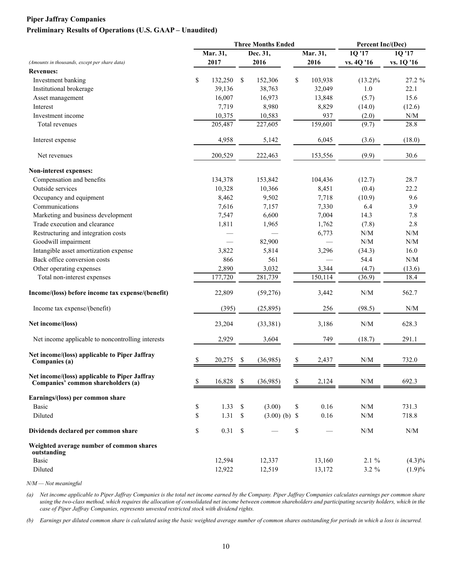### **Piper Jaffray Companies Preliminary Results of Operations (U.S. GAAP – Unaudited)**

|                                                                                     |               |               | <b>Three Months Ended</b> |    |          | Percent Inc/(Dec)                                           |                                                             |  |
|-------------------------------------------------------------------------------------|---------------|---------------|---------------------------|----|----------|-------------------------------------------------------------|-------------------------------------------------------------|--|
|                                                                                     | Mar. 31,      |               | Dec. 31,                  |    | Mar. 31, | 1Q '17                                                      | 1Q '17                                                      |  |
| (Amounts in thousands, except per share data)                                       | 2017          |               | 2016                      |    | 2016     | vs. 4Q '16                                                  | vs. 1Q '16                                                  |  |
| <b>Revenues:</b>                                                                    |               |               |                           |    |          |                                                             |                                                             |  |
| Investment banking                                                                  | \$<br>132,250 | <sup>\$</sup> | 152,306                   | \$ | 103,938  | $(13.2)\%$                                                  | $27.2 \%$                                                   |  |
| Institutional brokerage                                                             | 39,136        |               | 38,763                    |    | 32,049   | 1.0                                                         | 22.1                                                        |  |
| Asset management                                                                    | 16,007        |               | 16,973                    |    | 13,848   | (5.7)                                                       | 15.6                                                        |  |
| Interest                                                                            | 7,719         |               | 8,980                     |    | 8,829    | (14.0)                                                      | (12.6)                                                      |  |
| Investment income                                                                   | 10,375        |               | 10,583                    |    | 937      | (2.0)                                                       | $\ensuremath{\text{N}}\xspace/\ensuremath{\text{M}}\xspace$ |  |
| Total revenues                                                                      | 205,487       |               | 227,605                   |    | 159,601  | (9.7)                                                       | 28.8                                                        |  |
| Interest expense                                                                    | 4,958         |               | 5,142                     |    | 6,045    | (3.6)                                                       | (18.0)                                                      |  |
| Net revenues                                                                        | 200,529       |               | 222,463                   |    | 153,556  | (9.9)                                                       | 30.6                                                        |  |
| Non-interest expenses:                                                              |               |               |                           |    |          |                                                             |                                                             |  |
| Compensation and benefits                                                           | 134,378       |               | 153,842                   |    | 104,436  | (12.7)                                                      | 28.7                                                        |  |
| Outside services                                                                    | 10,328        |               | 10,366                    |    | 8,451    | (0.4)                                                       | 22.2                                                        |  |
| Occupancy and equipment                                                             | 8,462         |               | 9,502                     |    | 7,718    | (10.9)                                                      | 9.6                                                         |  |
| Communications                                                                      | 7,616         |               | 7,157                     |    | 7,330    | 6.4                                                         | 3.9                                                         |  |
| Marketing and business development                                                  | 7,547         |               | 6,600                     |    | 7,004    | 14.3                                                        | 7.8                                                         |  |
| Trade execution and clearance                                                       | 1,811         |               | 1,965                     |    | 1,762    | (7.8)                                                       | 2.8                                                         |  |
| Restructuring and integration costs                                                 |               |               |                           |    | 6,773    | N/M                                                         | N/M                                                         |  |
| Goodwill impairment                                                                 |               |               | 82,900                    |    |          | $\ensuremath{\text{N}}/\ensuremath{\text{M}}$               | N/M                                                         |  |
| Intangible asset amortization expense                                               | 3,822         |               | 5,814                     |    | 3,296    | (34.3)                                                      | 16.0                                                        |  |
| Back office conversion costs                                                        | 866           |               | 561                       |    |          | 54.4                                                        | N/M                                                         |  |
| Other operating expenses                                                            | 2,890         |               | 3,032                     |    | 3,344    | (4.7)                                                       | (13.6)                                                      |  |
| Total non-interest expenses                                                         | 177,720       |               | 281,739                   |    | 150,114  | (36.9)                                                      | 18.4                                                        |  |
| Income/(loss) before income tax expense/(benefit)                                   | 22,809        |               | (59,276)                  |    | 3,442    | N/M                                                         | 562.7                                                       |  |
| Income tax expense/(benefit)                                                        | (395)         |               | (25,895)                  |    | 256      | (98.5)                                                      | N/M                                                         |  |
| Net income/(loss)                                                                   | 23,204        |               | (33, 381)                 |    | 3,186    | $\ensuremath{\text{N}}/\ensuremath{\text{M}}$               | 628.3                                                       |  |
| Net income applicable to noncontrolling interests                                   | 2,929         |               | 3,604                     |    | 749      | (18.7)                                                      | 291.1                                                       |  |
| Net income/(loss) applicable to Piper Jaffray<br>Companies (a)                      | 20,275        | S             | (36,985)                  | S  | 2,437    | N/M                                                         | 732.0                                                       |  |
|                                                                                     |               |               |                           |    |          |                                                             |                                                             |  |
| Net income/(loss) applicable to Piper Jaffray<br>Companies' common shareholders (a) | \$<br>16,828  | \$            | (36,985)                  | \$ | 2,124    | $\ensuremath{\text{N}}\xspace/\ensuremath{\text{M}}\xspace$ | 692.3                                                       |  |
| Earnings/(loss) per common share                                                    |               |               |                           |    |          |                                                             |                                                             |  |
| <b>Basic</b>                                                                        | \$<br>1.33    | \$            | (3.00)                    | \$ | 0.16     | $\ensuremath{\text{N}}\xspace/\ensuremath{\text{M}}\xspace$ | 731.3                                                       |  |
| Diluted                                                                             | \$<br>1.31    | \$            | $(3.00)$ (b) \$           |    | 0.16     | $\ensuremath{\text{N}}\xspace/\ensuremath{\text{M}}\xspace$ | 718.8                                                       |  |
| Dividends declared per common share                                                 | \$<br>0.31    | \$            |                           | \$ |          | $\ensuremath{\text{N}}\xspace/\ensuremath{\text{M}}\xspace$ | N/M                                                         |  |
| Weighted average number of common shares<br>outstanding                             |               |               |                           |    |          |                                                             |                                                             |  |
| Basic                                                                               | 12,594        |               | 12,337                    |    | 13,160   | 2.1%                                                        | $(4.3)\%$                                                   |  |
| Diluted                                                                             | 12,922        |               | 12,519                    |    | 13,172   | $3.2 \%$                                                    | (1.9)%                                                      |  |

*N/M — Not meaningful*

*(a) Net income applicable to Piper Jaffray Companies is the total net income earned by the Company. Piper Jaffray Companies calculates earnings per common share*  using the two-class method, which requires the allocation of consolidated net income between common shareholders and participating security holders, which in the *case of Piper Jaffray Companies, represents unvested restricted stock with dividend rights.*

*(b) Earnings per diluted common share is calculated using the basic weighted average number of common shares outstanding for periods in which a loss is incurred.*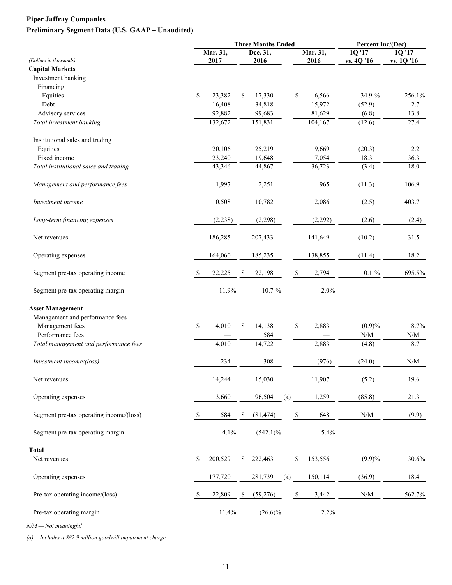## **Piper Jaffray Companies Preliminary Segment Data (U.S. GAAP – Unaudited)**

| (Dollars in thousands)<br><b>Capital Markets</b><br>Investment banking | \$ | Mar. 31,<br>2017 |     | Dec. 31,<br>2016 |     | Mar. 31,<br>2016 | 1Q'17<br>vs. 4Q '16                                         | 1Q'17<br>vs. 1Q '16                           |
|------------------------------------------------------------------------|----|------------------|-----|------------------|-----|------------------|-------------------------------------------------------------|-----------------------------------------------|
|                                                                        |    |                  |     |                  |     |                  |                                                             |                                               |
|                                                                        |    |                  |     |                  |     |                  |                                                             |                                               |
|                                                                        |    |                  |     |                  |     |                  |                                                             |                                               |
|                                                                        |    |                  |     |                  |     |                  |                                                             |                                               |
| Financing                                                              |    |                  |     |                  |     |                  |                                                             |                                               |
| Equities                                                               |    | 23,382           | \$  | 17,330           |     | \$<br>6,566      | 34.9 %                                                      | 256.1%                                        |
| Debt                                                                   |    | 16,408           |     | 34,818           |     | 15,972           | (52.9)                                                      | 2.7                                           |
| Advisory services                                                      |    | 92,882           |     | 99,683           |     | 81,629           | (6.8)                                                       | 13.8                                          |
| Total investment banking                                               |    | 132,672          |     | 151,831          |     | 104,167          | (12.6)                                                      | 27.4                                          |
| Institutional sales and trading                                        |    |                  |     |                  |     |                  |                                                             |                                               |
| Equities                                                               |    | 20,106           |     | 25,219           |     | 19,669           | (20.3)                                                      | 2.2                                           |
| Fixed income                                                           |    | 23,240           |     | 19,648           |     | 17,054           | 18.3                                                        | 36.3                                          |
| Total institutional sales and trading                                  |    | 43,346           |     | 44,867           |     | 36,723           | (3.4)                                                       | 18.0                                          |
| Management and performance fees                                        |    | 1,997            |     | 2,251            |     | 965              | (11.3)                                                      | 106.9                                         |
| Investment income                                                      |    | 10,508           |     | 10,782           |     | 2,086            | (2.5)                                                       | 403.7                                         |
| Long-term financing expenses                                           |    | (2, 238)         |     | (2,298)          |     | (2,292)          | (2.6)                                                       | (2.4)                                         |
| Net revenues                                                           |    | 186,285          |     | 207,433          |     | 141,649          | (10.2)                                                      | 31.5                                          |
| Operating expenses                                                     |    | 164,060          |     | 185,235          |     | 138,855          | (11.4)                                                      | 18.2                                          |
| Segment pre-tax operating income                                       | S  | 22,225           | \$  | 22,198           |     | \$<br>2,794      | $0.1 \%$                                                    | 695.5%                                        |
| Segment pre-tax operating margin                                       |    | 11.9%            |     | 10.7 %           |     | 2.0%             |                                                             |                                               |
| <b>Asset Management</b>                                                |    |                  |     |                  |     |                  |                                                             |                                               |
| Management and performance fees                                        |    |                  |     |                  |     |                  |                                                             |                                               |
| Management fees                                                        | \$ | 14,010           | \$  | 14,138           |     | \$<br>12,883     | (0.9)%                                                      | 8.7%                                          |
| Performance fees                                                       |    |                  |     | 584              |     |                  | $\ensuremath{\text{N}}\xspace/\ensuremath{\text{M}}\xspace$ | $\ensuremath{\text{N}}/\ensuremath{\text{M}}$ |
| Total management and performance fees                                  |    | 14,010           |     | 14,722           |     | 12,883           | (4.8)                                                       | 8.7                                           |
| Investment income/(loss)                                               |    | 234              |     | 308              |     | (976)            | (24.0)                                                      | N/M                                           |
| Net revenues                                                           |    | 14,244           |     | 15,030           |     | 11,907           | (5.2)                                                       | 19.6                                          |
| Operating expenses                                                     |    | 13,660           |     | 96,504           | (a) | 11,259           | (85.8)                                                      | 21.3                                          |
| Segment pre-tax operating income/(loss)                                | \$ | 584              | \$  | (81, 474)        |     | \$<br>648        | $\ensuremath{\text{N}}\xspace/\ensuremath{\text{M}}\xspace$ | (9.9)                                         |
| Segment pre-tax operating margin                                       |    | 4.1%             |     | $(542.1)\%$      |     | 5.4%             |                                                             |                                               |
| <b>Total</b>                                                           |    |                  |     |                  |     |                  |                                                             |                                               |
| Net revenues                                                           | \$ | 200,529          | \$  | 222,463          |     | \$<br>153,556    | $(9.9)\%$                                                   | 30.6%                                         |
| Operating expenses                                                     |    | 177,720          |     | 281,739          | (a) | 150,114          | (36.9)                                                      | 18.4                                          |
| Pre-tax operating income/(loss)                                        | S  | 22,809           | \$. | (59,276)         |     | \$<br>3,442      | N/M                                                         | 562.7%                                        |
| Pre-tax operating margin                                               |    | 11.4%            |     | $(26.6)\%$       |     | 2.2%             |                                                             |                                               |

*N/M — Not meaningful*

*(a) Includes a \$82.9 million goodwill impairment charge*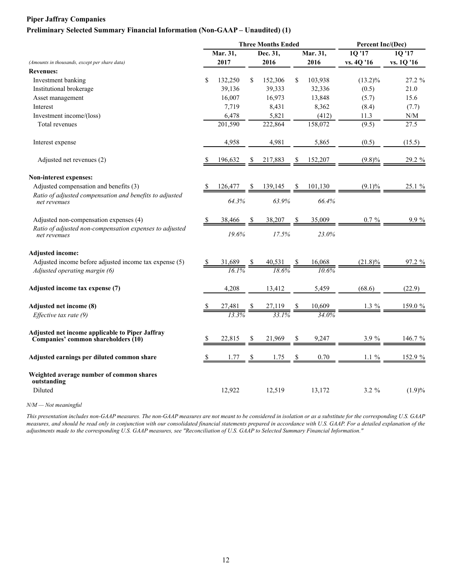#### **Piper Jaffray Companies**

#### **Preliminary Selected Summary Financial Information (Non-GAAP – Unaudited) (1)**

|               |          |                |                   |                                                                                                       | Percent Inc/(Dec)     |                                                                                                                   |
|---------------|----------|----------------|-------------------|-------------------------------------------------------------------------------------------------------|-----------------------|-------------------------------------------------------------------------------------------------------------------|
|               |          |                |                   |                                                                                                       | 10'17                 | 10'17                                                                                                             |
| 2017          |          | 2016           |                   | 2016                                                                                                  | vs. 4Q '16            | vs. 1Q '16                                                                                                        |
|               |          |                |                   |                                                                                                       |                       |                                                                                                                   |
| \$<br>132,250 | \$       | 152,306        | \$                | 103,938                                                                                               | $(13.2)\%$            | 27.2 %                                                                                                            |
| 39,136        |          | 39,333         |                   | 32,336                                                                                                | (0.5)                 | 21.0                                                                                                              |
| 16,007        |          | 16,973         |                   | 13,848                                                                                                | (5.7)                 | 15.6                                                                                                              |
| 7,719         |          | 8,431          |                   | 8,362                                                                                                 | (8.4)                 | (7.7)                                                                                                             |
| 6,478         |          | 5,821          |                   | (412)                                                                                                 | 11.3                  | $\ensuremath{\text{N}}/\ensuremath{\text{M}}$                                                                     |
| 201,590       |          | 222,864        |                   | 158,072                                                                                               | (9.5)                 | 27.5                                                                                                              |
| 4,958         |          | 4,981          |                   | 5,865                                                                                                 | (0.5)                 | (15.5)                                                                                                            |
| 196,632       |          | 217,883        | S                 | 152,207                                                                                               | $(9.8)\%$             | 29.2 %                                                                                                            |
|               |          |                |                   |                                                                                                       |                       |                                                                                                                   |
| 126,477       |          | 139,145        |                   | 101,130                                                                                               | $(9.1)\%$             | 25.1 %                                                                                                            |
|               |          |                |                   | 66.4%                                                                                                 |                       |                                                                                                                   |
| 38,466        |          | 38,207         |                   | 35,009                                                                                                | $0.7 \%$              | 9.9%                                                                                                              |
|               |          |                |                   | 23.0%                                                                                                 |                       |                                                                                                                   |
|               |          |                |                   |                                                                                                       |                       |                                                                                                                   |
|               |          |                |                   |                                                                                                       |                       | $97.2 \%$                                                                                                         |
|               |          |                |                   |                                                                                                       |                       |                                                                                                                   |
| 4,208         |          | 13,412         |                   | 5,459                                                                                                 | (68.6)                | (22.9)                                                                                                            |
|               |          |                |                   | 10,609                                                                                                |                       | 159.0 %                                                                                                           |
|               |          |                |                   |                                                                                                       |                       |                                                                                                                   |
| 22,815        | S.       | 21,969         |                   | 9,247                                                                                                 | 3.9%                  | 146.7 %                                                                                                           |
|               |          |                |                   | 0.70                                                                                                  | $1.1 \%$              | 152.9 %                                                                                                           |
| 12,922        |          |                |                   |                                                                                                       |                       | $(1.9)\%$                                                                                                         |
|               | Mar. 31, | 64.3%<br>19.6% | Dec. 31,<br>1.77S | <b>Three Months Ended</b><br>63.9%<br>17.5%<br>$\frac{27,119}{33.1\%}$ $\frac{\$}{ }$<br>$\mathbb{S}$ | Mar. 31,<br>$1.75$ \$ | $\frac{31,689}{161\%} \frac{\$ 40,531}{186\%} \frac{\$ 16,068}{106\%}$<br>$1.3\%$<br>$3.2 \%$<br>12,519<br>13,172 |

*N/M — Not meaningful*

*This presentation includes non-GAAP measures. The non-GAAP measures are not meant to be considered in isolation or as a substitute for the corresponding U.S. GAAP measures, and should be read only in conjunction with our consolidated financial statements prepared in accordance with U.S. GAAP. For a detailed explanation of the adjustments made to the corresponding U.S. GAAP measures, see "Reconciliation of U.S. GAAP to Selected Summary Financial Information."*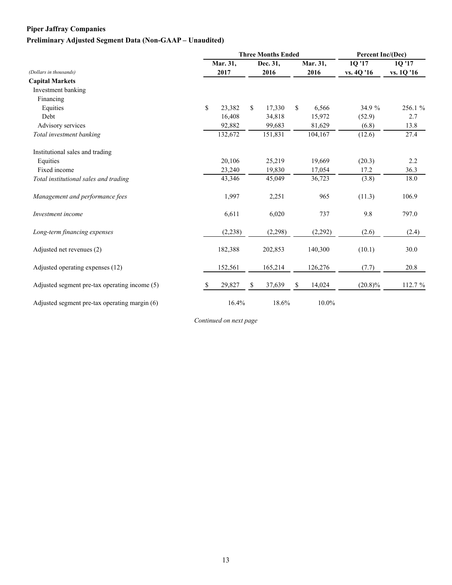## **Piper Jaffray Companies**

## **Preliminary Adjusted Segment Data (Non-GAAP – Unaudited)**

|                                               |              | <b>Three Months Ended</b> | Percent Inc/(Dec) |              |          |            |            |
|-----------------------------------------------|--------------|---------------------------|-------------------|--------------|----------|------------|------------|
|                                               | Mar. 31,     |                           | Dec. 31,          |              | Mar. 31, | 1Q '17     | 1Q '17     |
| (Dollars in thousands)                        | 2017         |                           | 2016              |              | 2016     | vs. 4Q '16 | vs. 1Q '16 |
| <b>Capital Markets</b>                        |              |                           |                   |              |          |            |            |
| Investment banking                            |              |                           |                   |              |          |            |            |
| Financing                                     |              |                           |                   |              |          |            |            |
| Equities                                      | \$<br>23,382 | \$                        | 17,330            | $\mathbb{S}$ | 6,566    | 34.9 %     | 256.1 %    |
| Debt                                          | 16,408       |                           | 34,818            |              | 15,972   | (52.9)     | 2.7        |
| Advisory services                             | 92,882       |                           | 99,683            |              | 81,629   | (6.8)      | 13.8       |
| Total investment banking                      | 132,672      |                           | 151,831           |              | 104,167  | (12.6)     | 27.4       |
| Institutional sales and trading               |              |                           |                   |              |          |            |            |
| Equities                                      | 20,106       |                           | 25,219            |              | 19,669   | (20.3)     | 2.2        |
| Fixed income                                  | 23,240       |                           | 19,830            |              | 17,054   | 17.2       | 36.3       |
| Total institutional sales and trading         | 43,346       |                           | 45,049            |              | 36,723   | (3.8)      | 18.0       |
| Management and performance fees               | 1,997        |                           | 2,251             |              | 965      | (11.3)     | 106.9      |
| Investment income                             | 6,611        |                           | 6,020             |              | 737      | 9.8        | 797.0      |
| Long-term financing expenses                  | (2,238)      |                           | (2,298)           |              | (2,292)  | (2.6)      | (2.4)      |
| Adjusted net revenues (2)                     | 182,388      |                           | 202,853           |              | 140,300  | (10.1)     | 30.0       |
| Adjusted operating expenses (12)              | 152,561      |                           | 165,214           |              | 126,276  | (7.7)      | 20.8       |
| Adjusted segment pre-tax operating income (5) | \$<br>29,827 | S                         | 37,639            | \$           | 14,024   | $(20.8)\%$ | 112.7 %    |
| Adjusted segment pre-tax operating margin (6) | 16.4%        |                           | 18.6%             |              | 10.0%    |            |            |

*Continued on next page*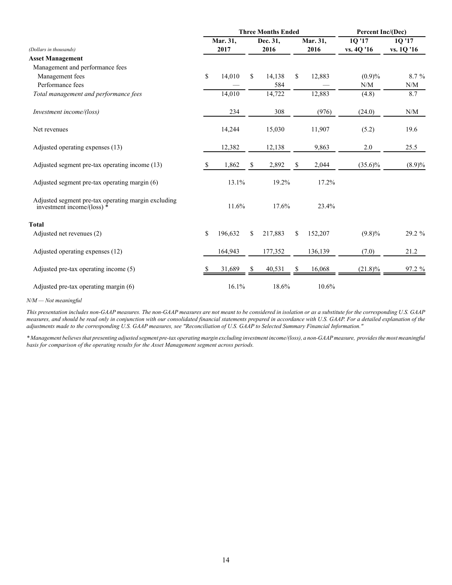|                                                                                     |    | <b>Three Months Ended</b> |    |          | Percent Inc/(Dec) |          |                   |                                               |
|-------------------------------------------------------------------------------------|----|---------------------------|----|----------|-------------------|----------|-------------------|-----------------------------------------------|
|                                                                                     |    | Mar. 31,                  |    | Dec. 31, |                   | Mar. 31, | 10 <sup>'17</sup> | 1Q '17                                        |
| (Dollars in thousands)                                                              |    | 2017                      |    | 2016     |                   | 2016     | vs. 4Q '16        | vs. 1Q '16                                    |
| <b>Asset Management</b>                                                             |    |                           |    |          |                   |          |                   |                                               |
| Management and performance fees                                                     |    |                           |    |          |                   |          |                   |                                               |
| Management fees                                                                     | \$ | 14,010                    | \$ | 14,138   | \$                | 12,883   | (0.9)%            | 8.7 %                                         |
| Performance fees                                                                    |    |                           |    | 584      |                   |          | N/M               | N/M                                           |
| Total management and performance fees                                               |    | 14,010                    |    | 14,722   |                   | 12,883   | (4.8)             | 8.7                                           |
| Investment income/(loss)                                                            |    | 234                       |    | 308      |                   | (976)    | (24.0)            | $\ensuremath{\text{N}}/\ensuremath{\text{M}}$ |
| Net revenues                                                                        |    | 14,244                    |    | 15,030   |                   | 11,907   | (5.2)             | 19.6                                          |
| Adjusted operating expenses (13)                                                    |    | 12,382                    |    | 12,138   |                   | 9,863    | $2.0\,$           | 25.5                                          |
| Adjusted segment pre-tax operating income (13)                                      | S. | 1,862                     | \$ | 2,892    | \$                | 2,044    | $(35.6)\%$        | $(8.9)\%$                                     |
| Adjusted segment pre-tax operating margin (6)                                       |    | 13.1%                     |    | 19.2%    |                   | 17.2%    |                   |                                               |
| Adjusted segment pre-tax operating margin excluding<br>investment income/(loss) $*$ |    | 11.6%                     |    | 17.6%    |                   | 23.4%    |                   |                                               |
| <b>Total</b>                                                                        |    |                           |    |          |                   |          |                   |                                               |
| Adjusted net revenues (2)                                                           | \$ | 196,632                   | \$ | 217,883  | \$                | 152,207  | $(9.8)\%$         | 29.2 %                                        |
| Adjusted operating expenses (12)                                                    |    | 164,943                   |    | 177,352  |                   | 136,139  | (7.0)             | 21.2                                          |
| Adjusted pre-tax operating income (5)                                               | S  | 31,689                    |    | 40,531   | S                 | 16,068   | $(21.8)\%$        | 97.2 %                                        |
| Adjusted pre-tax operating margin (6)                                               |    | 16.1%                     |    | 18.6%    |                   | 10.6%    |                   |                                               |

*N/M — Not meaningful*

*This presentation includes non-GAAP measures. The non-GAAP measures are not meant to be considered in isolation or as a substitute for the corresponding U.S. GAAP measures, and should be read only in conjunction with our consolidated financial statements prepared in accordance with U.S. GAAP. For a detailed explanation of the adjustments made to the corresponding U.S. GAAP measures, see "Reconciliation of U.S. GAAP to Selected Summary Financial Information."*

*\* Management believes that presenting adjusted segment pre-tax operating margin excluding investment income/(loss), a non-GAAP measure, provides the most meaningful basis for comparison of the operating results for the Asset Management segment across periods.*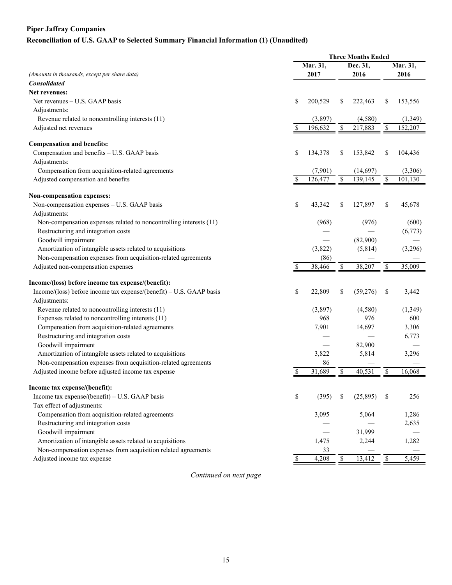## **Piper Jaffray Companies Reconciliation of U.S. GAAP to Selected Summary Financial Information (1) (Unaudited)**

| Mar. 31,<br>Mar. 31,<br>Dec. 31,<br>(Amounts in thousands, except per share data)<br>2017<br>2016<br>2016<br><b>Consolidated</b><br>Net revenues:<br>\$<br>Net revenues – U.S. GAAP basis<br>200,529<br>222,463<br>\$<br>153,556<br>S<br>Adjustments:<br>Revenue related to noncontrolling interests (11)<br>(3,897)<br>(4,580)<br>(1, 349)<br>\$<br>\$<br>152,207<br>Adjusted net revenues<br>196,632<br>217,883<br>\$<br><b>Compensation and benefits:</b><br>Compensation and benefits - U.S. GAAP basis<br>\$<br>\$<br>134,378<br>\$<br>153,842<br>104,436<br>Adjustments:<br>Compensation from acquisition-related agreements<br>(7,901)<br>(14, 697)<br>(3,306)<br>\$<br>\$<br>Adjusted compensation and benefits<br>\$<br>126,477<br>139,145<br>101,130<br>Non-compensation expenses:<br>Non-compensation expenses - U.S. GAAP basis<br>\$<br>\$<br>127,897<br>\$<br>43,342<br>45,678<br>Adjustments:<br>Non-compensation expenses related to noncontrolling interests (11)<br>(968)<br>(976)<br>(600)<br>Restructuring and integration costs<br>(6,773)<br>Goodwill impairment<br>(82,900)<br>Amortization of intangible assets related to acquisitions<br>(3,296)<br>(3,822)<br>(5,814)<br>Non-compensation expenses from acquisition-related agreements<br>(86)<br>Adjusted non-compensation expenses<br>\$<br>38,207<br>\$<br>38,466<br>\$<br>35,009<br>Income/(loss) before income tax expense/(benefit):<br>Income/(loss) before income tax expense/(benefit) – U.S. GAAP basis<br>\$<br>22,809<br>\$<br>(59,276)<br>\$<br>3,442<br>Adjustments:<br>Revenue related to noncontrolling interests (11)<br>(3,897)<br>(4,580)<br>(1, 349)<br>Expenses related to noncontrolling interests (11)<br>976<br>968<br>600<br>Compensation from acquisition-related agreements<br>7,901<br>14,697<br>3,306<br>Restructuring and integration costs<br>6,773<br>Goodwill impairment<br>82,900<br>Amortization of intangible assets related to acquisitions<br>3,822<br>5,814<br>3,296<br>Non-compensation expenses from acquisition-related agreements<br>86<br>Adjusted income before adjusted income tax expense<br>40,531<br>\$<br>31,689<br>\$<br>16,068<br>Income tax expense/(benefit):<br>Income tax expense/(benefit) - U.S. GAAP basis<br>\$<br>(395)<br>(25,895)<br>\$<br>256<br>S<br>Tax effect of adjustments:<br>Compensation from acquisition-related agreements<br>3,095<br>5,064<br>1,286<br>Restructuring and integration costs<br>2,635<br>Goodwill impairment<br>31,999<br>Amortization of intangible assets related to acquisitions<br>1,282<br>1,475<br>2,244<br>Non-compensation expenses from acquisition related agreements<br>33<br>Adjusted income tax expense<br>4,208<br>\$<br>5,459<br>\$<br>\$<br>13,412 | <b>Three Months Ended</b> |  |  |  |  |  |  |
|-----------------------------------------------------------------------------------------------------------------------------------------------------------------------------------------------------------------------------------------------------------------------------------------------------------------------------------------------------------------------------------------------------------------------------------------------------------------------------------------------------------------------------------------------------------------------------------------------------------------------------------------------------------------------------------------------------------------------------------------------------------------------------------------------------------------------------------------------------------------------------------------------------------------------------------------------------------------------------------------------------------------------------------------------------------------------------------------------------------------------------------------------------------------------------------------------------------------------------------------------------------------------------------------------------------------------------------------------------------------------------------------------------------------------------------------------------------------------------------------------------------------------------------------------------------------------------------------------------------------------------------------------------------------------------------------------------------------------------------------------------------------------------------------------------------------------------------------------------------------------------------------------------------------------------------------------------------------------------------------------------------------------------------------------------------------------------------------------------------------------------------------------------------------------------------------------------------------------------------------------------------------------------------------------------------------------------------------------------------------------------------------------------------------------------------------------------------------------------------------------------------------------------------------------------------------------------------------------------------------------------------------------------------------------------------------------------------------------------------------|---------------------------|--|--|--|--|--|--|
|                                                                                                                                                                                                                                                                                                                                                                                                                                                                                                                                                                                                                                                                                                                                                                                                                                                                                                                                                                                                                                                                                                                                                                                                                                                                                                                                                                                                                                                                                                                                                                                                                                                                                                                                                                                                                                                                                                                                                                                                                                                                                                                                                                                                                                                                                                                                                                                                                                                                                                                                                                                                                                                                                                                                         |                           |  |  |  |  |  |  |
|                                                                                                                                                                                                                                                                                                                                                                                                                                                                                                                                                                                                                                                                                                                                                                                                                                                                                                                                                                                                                                                                                                                                                                                                                                                                                                                                                                                                                                                                                                                                                                                                                                                                                                                                                                                                                                                                                                                                                                                                                                                                                                                                                                                                                                                                                                                                                                                                                                                                                                                                                                                                                                                                                                                                         |                           |  |  |  |  |  |  |
|                                                                                                                                                                                                                                                                                                                                                                                                                                                                                                                                                                                                                                                                                                                                                                                                                                                                                                                                                                                                                                                                                                                                                                                                                                                                                                                                                                                                                                                                                                                                                                                                                                                                                                                                                                                                                                                                                                                                                                                                                                                                                                                                                                                                                                                                                                                                                                                                                                                                                                                                                                                                                                                                                                                                         |                           |  |  |  |  |  |  |
|                                                                                                                                                                                                                                                                                                                                                                                                                                                                                                                                                                                                                                                                                                                                                                                                                                                                                                                                                                                                                                                                                                                                                                                                                                                                                                                                                                                                                                                                                                                                                                                                                                                                                                                                                                                                                                                                                                                                                                                                                                                                                                                                                                                                                                                                                                                                                                                                                                                                                                                                                                                                                                                                                                                                         |                           |  |  |  |  |  |  |
|                                                                                                                                                                                                                                                                                                                                                                                                                                                                                                                                                                                                                                                                                                                                                                                                                                                                                                                                                                                                                                                                                                                                                                                                                                                                                                                                                                                                                                                                                                                                                                                                                                                                                                                                                                                                                                                                                                                                                                                                                                                                                                                                                                                                                                                                                                                                                                                                                                                                                                                                                                                                                                                                                                                                         |                           |  |  |  |  |  |  |
|                                                                                                                                                                                                                                                                                                                                                                                                                                                                                                                                                                                                                                                                                                                                                                                                                                                                                                                                                                                                                                                                                                                                                                                                                                                                                                                                                                                                                                                                                                                                                                                                                                                                                                                                                                                                                                                                                                                                                                                                                                                                                                                                                                                                                                                                                                                                                                                                                                                                                                                                                                                                                                                                                                                                         |                           |  |  |  |  |  |  |
|                                                                                                                                                                                                                                                                                                                                                                                                                                                                                                                                                                                                                                                                                                                                                                                                                                                                                                                                                                                                                                                                                                                                                                                                                                                                                                                                                                                                                                                                                                                                                                                                                                                                                                                                                                                                                                                                                                                                                                                                                                                                                                                                                                                                                                                                                                                                                                                                                                                                                                                                                                                                                                                                                                                                         |                           |  |  |  |  |  |  |
|                                                                                                                                                                                                                                                                                                                                                                                                                                                                                                                                                                                                                                                                                                                                                                                                                                                                                                                                                                                                                                                                                                                                                                                                                                                                                                                                                                                                                                                                                                                                                                                                                                                                                                                                                                                                                                                                                                                                                                                                                                                                                                                                                                                                                                                                                                                                                                                                                                                                                                                                                                                                                                                                                                                                         |                           |  |  |  |  |  |  |
|                                                                                                                                                                                                                                                                                                                                                                                                                                                                                                                                                                                                                                                                                                                                                                                                                                                                                                                                                                                                                                                                                                                                                                                                                                                                                                                                                                                                                                                                                                                                                                                                                                                                                                                                                                                                                                                                                                                                                                                                                                                                                                                                                                                                                                                                                                                                                                                                                                                                                                                                                                                                                                                                                                                                         |                           |  |  |  |  |  |  |
|                                                                                                                                                                                                                                                                                                                                                                                                                                                                                                                                                                                                                                                                                                                                                                                                                                                                                                                                                                                                                                                                                                                                                                                                                                                                                                                                                                                                                                                                                                                                                                                                                                                                                                                                                                                                                                                                                                                                                                                                                                                                                                                                                                                                                                                                                                                                                                                                                                                                                                                                                                                                                                                                                                                                         |                           |  |  |  |  |  |  |
|                                                                                                                                                                                                                                                                                                                                                                                                                                                                                                                                                                                                                                                                                                                                                                                                                                                                                                                                                                                                                                                                                                                                                                                                                                                                                                                                                                                                                                                                                                                                                                                                                                                                                                                                                                                                                                                                                                                                                                                                                                                                                                                                                                                                                                                                                                                                                                                                                                                                                                                                                                                                                                                                                                                                         |                           |  |  |  |  |  |  |
|                                                                                                                                                                                                                                                                                                                                                                                                                                                                                                                                                                                                                                                                                                                                                                                                                                                                                                                                                                                                                                                                                                                                                                                                                                                                                                                                                                                                                                                                                                                                                                                                                                                                                                                                                                                                                                                                                                                                                                                                                                                                                                                                                                                                                                                                                                                                                                                                                                                                                                                                                                                                                                                                                                                                         |                           |  |  |  |  |  |  |
|                                                                                                                                                                                                                                                                                                                                                                                                                                                                                                                                                                                                                                                                                                                                                                                                                                                                                                                                                                                                                                                                                                                                                                                                                                                                                                                                                                                                                                                                                                                                                                                                                                                                                                                                                                                                                                                                                                                                                                                                                                                                                                                                                                                                                                                                                                                                                                                                                                                                                                                                                                                                                                                                                                                                         |                           |  |  |  |  |  |  |
|                                                                                                                                                                                                                                                                                                                                                                                                                                                                                                                                                                                                                                                                                                                                                                                                                                                                                                                                                                                                                                                                                                                                                                                                                                                                                                                                                                                                                                                                                                                                                                                                                                                                                                                                                                                                                                                                                                                                                                                                                                                                                                                                                                                                                                                                                                                                                                                                                                                                                                                                                                                                                                                                                                                                         |                           |  |  |  |  |  |  |
|                                                                                                                                                                                                                                                                                                                                                                                                                                                                                                                                                                                                                                                                                                                                                                                                                                                                                                                                                                                                                                                                                                                                                                                                                                                                                                                                                                                                                                                                                                                                                                                                                                                                                                                                                                                                                                                                                                                                                                                                                                                                                                                                                                                                                                                                                                                                                                                                                                                                                                                                                                                                                                                                                                                                         |                           |  |  |  |  |  |  |
|                                                                                                                                                                                                                                                                                                                                                                                                                                                                                                                                                                                                                                                                                                                                                                                                                                                                                                                                                                                                                                                                                                                                                                                                                                                                                                                                                                                                                                                                                                                                                                                                                                                                                                                                                                                                                                                                                                                                                                                                                                                                                                                                                                                                                                                                                                                                                                                                                                                                                                                                                                                                                                                                                                                                         |                           |  |  |  |  |  |  |
|                                                                                                                                                                                                                                                                                                                                                                                                                                                                                                                                                                                                                                                                                                                                                                                                                                                                                                                                                                                                                                                                                                                                                                                                                                                                                                                                                                                                                                                                                                                                                                                                                                                                                                                                                                                                                                                                                                                                                                                                                                                                                                                                                                                                                                                                                                                                                                                                                                                                                                                                                                                                                                                                                                                                         |                           |  |  |  |  |  |  |
|                                                                                                                                                                                                                                                                                                                                                                                                                                                                                                                                                                                                                                                                                                                                                                                                                                                                                                                                                                                                                                                                                                                                                                                                                                                                                                                                                                                                                                                                                                                                                                                                                                                                                                                                                                                                                                                                                                                                                                                                                                                                                                                                                                                                                                                                                                                                                                                                                                                                                                                                                                                                                                                                                                                                         |                           |  |  |  |  |  |  |
|                                                                                                                                                                                                                                                                                                                                                                                                                                                                                                                                                                                                                                                                                                                                                                                                                                                                                                                                                                                                                                                                                                                                                                                                                                                                                                                                                                                                                                                                                                                                                                                                                                                                                                                                                                                                                                                                                                                                                                                                                                                                                                                                                                                                                                                                                                                                                                                                                                                                                                                                                                                                                                                                                                                                         |                           |  |  |  |  |  |  |
|                                                                                                                                                                                                                                                                                                                                                                                                                                                                                                                                                                                                                                                                                                                                                                                                                                                                                                                                                                                                                                                                                                                                                                                                                                                                                                                                                                                                                                                                                                                                                                                                                                                                                                                                                                                                                                                                                                                                                                                                                                                                                                                                                                                                                                                                                                                                                                                                                                                                                                                                                                                                                                                                                                                                         |                           |  |  |  |  |  |  |
|                                                                                                                                                                                                                                                                                                                                                                                                                                                                                                                                                                                                                                                                                                                                                                                                                                                                                                                                                                                                                                                                                                                                                                                                                                                                                                                                                                                                                                                                                                                                                                                                                                                                                                                                                                                                                                                                                                                                                                                                                                                                                                                                                                                                                                                                                                                                                                                                                                                                                                                                                                                                                                                                                                                                         |                           |  |  |  |  |  |  |
|                                                                                                                                                                                                                                                                                                                                                                                                                                                                                                                                                                                                                                                                                                                                                                                                                                                                                                                                                                                                                                                                                                                                                                                                                                                                                                                                                                                                                                                                                                                                                                                                                                                                                                                                                                                                                                                                                                                                                                                                                                                                                                                                                                                                                                                                                                                                                                                                                                                                                                                                                                                                                                                                                                                                         |                           |  |  |  |  |  |  |
|                                                                                                                                                                                                                                                                                                                                                                                                                                                                                                                                                                                                                                                                                                                                                                                                                                                                                                                                                                                                                                                                                                                                                                                                                                                                                                                                                                                                                                                                                                                                                                                                                                                                                                                                                                                                                                                                                                                                                                                                                                                                                                                                                                                                                                                                                                                                                                                                                                                                                                                                                                                                                                                                                                                                         |                           |  |  |  |  |  |  |
|                                                                                                                                                                                                                                                                                                                                                                                                                                                                                                                                                                                                                                                                                                                                                                                                                                                                                                                                                                                                                                                                                                                                                                                                                                                                                                                                                                                                                                                                                                                                                                                                                                                                                                                                                                                                                                                                                                                                                                                                                                                                                                                                                                                                                                                                                                                                                                                                                                                                                                                                                                                                                                                                                                                                         |                           |  |  |  |  |  |  |
|                                                                                                                                                                                                                                                                                                                                                                                                                                                                                                                                                                                                                                                                                                                                                                                                                                                                                                                                                                                                                                                                                                                                                                                                                                                                                                                                                                                                                                                                                                                                                                                                                                                                                                                                                                                                                                                                                                                                                                                                                                                                                                                                                                                                                                                                                                                                                                                                                                                                                                                                                                                                                                                                                                                                         |                           |  |  |  |  |  |  |
|                                                                                                                                                                                                                                                                                                                                                                                                                                                                                                                                                                                                                                                                                                                                                                                                                                                                                                                                                                                                                                                                                                                                                                                                                                                                                                                                                                                                                                                                                                                                                                                                                                                                                                                                                                                                                                                                                                                                                                                                                                                                                                                                                                                                                                                                                                                                                                                                                                                                                                                                                                                                                                                                                                                                         |                           |  |  |  |  |  |  |
|                                                                                                                                                                                                                                                                                                                                                                                                                                                                                                                                                                                                                                                                                                                                                                                                                                                                                                                                                                                                                                                                                                                                                                                                                                                                                                                                                                                                                                                                                                                                                                                                                                                                                                                                                                                                                                                                                                                                                                                                                                                                                                                                                                                                                                                                                                                                                                                                                                                                                                                                                                                                                                                                                                                                         |                           |  |  |  |  |  |  |
|                                                                                                                                                                                                                                                                                                                                                                                                                                                                                                                                                                                                                                                                                                                                                                                                                                                                                                                                                                                                                                                                                                                                                                                                                                                                                                                                                                                                                                                                                                                                                                                                                                                                                                                                                                                                                                                                                                                                                                                                                                                                                                                                                                                                                                                                                                                                                                                                                                                                                                                                                                                                                                                                                                                                         |                           |  |  |  |  |  |  |
|                                                                                                                                                                                                                                                                                                                                                                                                                                                                                                                                                                                                                                                                                                                                                                                                                                                                                                                                                                                                                                                                                                                                                                                                                                                                                                                                                                                                                                                                                                                                                                                                                                                                                                                                                                                                                                                                                                                                                                                                                                                                                                                                                                                                                                                                                                                                                                                                                                                                                                                                                                                                                                                                                                                                         |                           |  |  |  |  |  |  |
|                                                                                                                                                                                                                                                                                                                                                                                                                                                                                                                                                                                                                                                                                                                                                                                                                                                                                                                                                                                                                                                                                                                                                                                                                                                                                                                                                                                                                                                                                                                                                                                                                                                                                                                                                                                                                                                                                                                                                                                                                                                                                                                                                                                                                                                                                                                                                                                                                                                                                                                                                                                                                                                                                                                                         |                           |  |  |  |  |  |  |
|                                                                                                                                                                                                                                                                                                                                                                                                                                                                                                                                                                                                                                                                                                                                                                                                                                                                                                                                                                                                                                                                                                                                                                                                                                                                                                                                                                                                                                                                                                                                                                                                                                                                                                                                                                                                                                                                                                                                                                                                                                                                                                                                                                                                                                                                                                                                                                                                                                                                                                                                                                                                                                                                                                                                         |                           |  |  |  |  |  |  |
|                                                                                                                                                                                                                                                                                                                                                                                                                                                                                                                                                                                                                                                                                                                                                                                                                                                                                                                                                                                                                                                                                                                                                                                                                                                                                                                                                                                                                                                                                                                                                                                                                                                                                                                                                                                                                                                                                                                                                                                                                                                                                                                                                                                                                                                                                                                                                                                                                                                                                                                                                                                                                                                                                                                                         |                           |  |  |  |  |  |  |
|                                                                                                                                                                                                                                                                                                                                                                                                                                                                                                                                                                                                                                                                                                                                                                                                                                                                                                                                                                                                                                                                                                                                                                                                                                                                                                                                                                                                                                                                                                                                                                                                                                                                                                                                                                                                                                                                                                                                                                                                                                                                                                                                                                                                                                                                                                                                                                                                                                                                                                                                                                                                                                                                                                                                         |                           |  |  |  |  |  |  |
|                                                                                                                                                                                                                                                                                                                                                                                                                                                                                                                                                                                                                                                                                                                                                                                                                                                                                                                                                                                                                                                                                                                                                                                                                                                                                                                                                                                                                                                                                                                                                                                                                                                                                                                                                                                                                                                                                                                                                                                                                                                                                                                                                                                                                                                                                                                                                                                                                                                                                                                                                                                                                                                                                                                                         |                           |  |  |  |  |  |  |
|                                                                                                                                                                                                                                                                                                                                                                                                                                                                                                                                                                                                                                                                                                                                                                                                                                                                                                                                                                                                                                                                                                                                                                                                                                                                                                                                                                                                                                                                                                                                                                                                                                                                                                                                                                                                                                                                                                                                                                                                                                                                                                                                                                                                                                                                                                                                                                                                                                                                                                                                                                                                                                                                                                                                         |                           |  |  |  |  |  |  |
|                                                                                                                                                                                                                                                                                                                                                                                                                                                                                                                                                                                                                                                                                                                                                                                                                                                                                                                                                                                                                                                                                                                                                                                                                                                                                                                                                                                                                                                                                                                                                                                                                                                                                                                                                                                                                                                                                                                                                                                                                                                                                                                                                                                                                                                                                                                                                                                                                                                                                                                                                                                                                                                                                                                                         |                           |  |  |  |  |  |  |
|                                                                                                                                                                                                                                                                                                                                                                                                                                                                                                                                                                                                                                                                                                                                                                                                                                                                                                                                                                                                                                                                                                                                                                                                                                                                                                                                                                                                                                                                                                                                                                                                                                                                                                                                                                                                                                                                                                                                                                                                                                                                                                                                                                                                                                                                                                                                                                                                                                                                                                                                                                                                                                                                                                                                         |                           |  |  |  |  |  |  |
|                                                                                                                                                                                                                                                                                                                                                                                                                                                                                                                                                                                                                                                                                                                                                                                                                                                                                                                                                                                                                                                                                                                                                                                                                                                                                                                                                                                                                                                                                                                                                                                                                                                                                                                                                                                                                                                                                                                                                                                                                                                                                                                                                                                                                                                                                                                                                                                                                                                                                                                                                                                                                                                                                                                                         |                           |  |  |  |  |  |  |
|                                                                                                                                                                                                                                                                                                                                                                                                                                                                                                                                                                                                                                                                                                                                                                                                                                                                                                                                                                                                                                                                                                                                                                                                                                                                                                                                                                                                                                                                                                                                                                                                                                                                                                                                                                                                                                                                                                                                                                                                                                                                                                                                                                                                                                                                                                                                                                                                                                                                                                                                                                                                                                                                                                                                         |                           |  |  |  |  |  |  |
|                                                                                                                                                                                                                                                                                                                                                                                                                                                                                                                                                                                                                                                                                                                                                                                                                                                                                                                                                                                                                                                                                                                                                                                                                                                                                                                                                                                                                                                                                                                                                                                                                                                                                                                                                                                                                                                                                                                                                                                                                                                                                                                                                                                                                                                                                                                                                                                                                                                                                                                                                                                                                                                                                                                                         |                           |  |  |  |  |  |  |
|                                                                                                                                                                                                                                                                                                                                                                                                                                                                                                                                                                                                                                                                                                                                                                                                                                                                                                                                                                                                                                                                                                                                                                                                                                                                                                                                                                                                                                                                                                                                                                                                                                                                                                                                                                                                                                                                                                                                                                                                                                                                                                                                                                                                                                                                                                                                                                                                                                                                                                                                                                                                                                                                                                                                         |                           |  |  |  |  |  |  |
|                                                                                                                                                                                                                                                                                                                                                                                                                                                                                                                                                                                                                                                                                                                                                                                                                                                                                                                                                                                                                                                                                                                                                                                                                                                                                                                                                                                                                                                                                                                                                                                                                                                                                                                                                                                                                                                                                                                                                                                                                                                                                                                                                                                                                                                                                                                                                                                                                                                                                                                                                                                                                                                                                                                                         |                           |  |  |  |  |  |  |

*Continued on next page*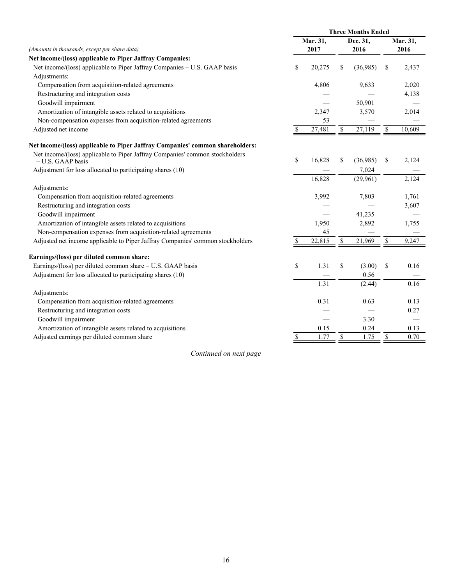|                                                                                                   | <b>Three Months Ended</b> |          |    |          |                          |          |  |
|---------------------------------------------------------------------------------------------------|---------------------------|----------|----|----------|--------------------------|----------|--|
|                                                                                                   |                           | Mar. 31, |    | Dec. 31, |                          | Mar. 31, |  |
| (Amounts in thousands, except per share data)                                                     |                           | 2017     |    | 2016     |                          | 2016     |  |
| Net income/(loss) applicable to Piper Jaffray Companies:                                          |                           |          |    |          |                          |          |  |
| Net income/(loss) applicable to Piper Jaffray Companies – U.S. GAAP basis                         | \$                        | 20,275   | \$ | (36,985) | \$                       | 2,437    |  |
| Adjustments:                                                                                      |                           |          |    |          |                          |          |  |
| Compensation from acquisition-related agreements                                                  |                           | 4,806    |    | 9,633    |                          | 2,020    |  |
| Restructuring and integration costs                                                               |                           |          |    |          |                          | 4,138    |  |
| Goodwill impairment                                                                               |                           |          |    | 50,901   |                          |          |  |
| Amortization of intangible assets related to acquisitions                                         |                           | 2,347    |    | 3,570    |                          | 2,014    |  |
| Non-compensation expenses from acquisition-related agreements                                     |                           | 53       |    |          |                          |          |  |
| Adjusted net income                                                                               | \$                        | 27,481   | \$ | 27,119   | $\overline{\mathcal{S}}$ | 10,609   |  |
| Net income/(loss) applicable to Piper Jaffray Companies' common shareholders:                     |                           |          |    |          |                          |          |  |
| Net income/(loss) applicable to Piper Jaffray Companies' common stockholders<br>- U.S. GAAP basis | \$                        | 16,828   | \$ | (36,985) | \$                       | 2,124    |  |
| Adjustment for loss allocated to participating shares (10)                                        |                           |          |    | 7,024    |                          |          |  |
|                                                                                                   |                           | 16,828   |    | (29,961) |                          | 2,124    |  |
| Adjustments:                                                                                      |                           |          |    |          |                          |          |  |
| Compensation from acquisition-related agreements                                                  |                           | 3,992    |    | 7,803    |                          | 1,761    |  |
| Restructuring and integration costs                                                               |                           |          |    |          |                          | 3,607    |  |
| Goodwill impairment                                                                               |                           |          |    | 41,235   |                          |          |  |
| Amortization of intangible assets related to acquisitions                                         |                           | 1,950    |    | 2,892    |                          | 1,755    |  |
| Non-compensation expenses from acquisition-related agreements                                     |                           | 45       |    |          |                          |          |  |
| Adjusted net income applicable to Piper Jaffray Companies' common stockholders                    | <sup>\$</sup>             | 22,815   | \$ | 21,969   | $\overline{\mathcal{S}}$ | 9,247    |  |
| Earnings/(loss) per diluted common share:                                                         |                           |          |    |          |                          |          |  |
| Earnings/(loss) per diluted common share - U.S. GAAP basis                                        | \$                        | 1.31     | \$ | (3.00)   | \$                       | 0.16     |  |
| Adjustment for loss allocated to participating shares (10)                                        |                           |          |    | 0.56     |                          |          |  |
|                                                                                                   |                           | 1.31     |    | (2.44)   |                          | 0.16     |  |
| Adjustments:                                                                                      |                           |          |    |          |                          |          |  |
| Compensation from acquisition-related agreements                                                  |                           | 0.31     |    | 0.63     |                          | 0.13     |  |
| Restructuring and integration costs                                                               |                           |          |    |          |                          | 0.27     |  |
| Goodwill impairment                                                                               |                           |          |    | 3.30     |                          |          |  |
| Amortization of intangible assets related to acquisitions                                         |                           | 0.15     |    | 0.24     |                          | 0.13     |  |
| Adjusted earnings per diluted common share                                                        | $\mathbb{S}$              | 1.77     | \$ | 1.75     | $\mathbb{S}$             | 0.70     |  |

*Continued on next page*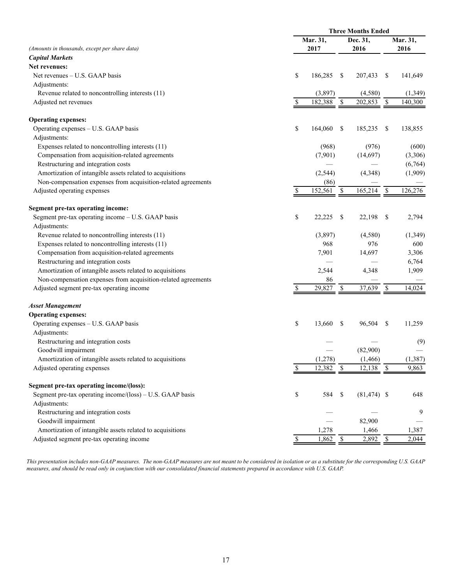|                                                               |               | <b>Three Months Ended</b> |                        |                |                                   |          |
|---------------------------------------------------------------|---------------|---------------------------|------------------------|----------------|-----------------------------------|----------|
|                                                               |               | Mar. 31,                  |                        | Dec. 31,       |                                   | Mar. 31, |
| (Amounts in thousands, except per share data)                 |               | 2017                      | 2016                   |                | 2016                              |          |
| <b>Capital Markets</b>                                        |               |                           |                        |                |                                   |          |
| Net revenues:                                                 |               |                           |                        |                |                                   |          |
| Net revenues – U.S. GAAP basis                                | \$            | 186,285                   | <sup>\$</sup>          | 207,433        | <sup>\$</sup>                     | 141,649  |
| Adjustments:                                                  |               |                           |                        |                |                                   |          |
| Revenue related to noncontrolling interests (11)              |               | (3,897)                   |                        | (4,580)        |                                   | (1, 349) |
| Adjusted net revenues                                         | \$            | 182,388                   | $\mathbf{\mathcal{S}}$ | 202,853        | $\sqrt{\frac{2}{5}}$              | 140,300  |
| <b>Operating expenses:</b>                                    |               |                           |                        |                |                                   |          |
| Operating expenses - U.S. GAAP basis                          | \$            | 164,060                   | <sup>\$</sup>          | 185,235        | -S                                | 138,855  |
| Adjustments:                                                  |               |                           |                        |                |                                   |          |
| Expenses related to noncontrolling interests (11)             |               | (968)                     |                        | (976)          |                                   | (600)    |
| Compensation from acquisition-related agreements              |               | (7,901)                   |                        | (14,697)       |                                   | (3,306)  |
| Restructuring and integration costs                           |               |                           |                        |                |                                   | (6,764)  |
| Amortization of intangible assets related to acquisitions     |               | (2, 544)                  |                        | (4,348)        |                                   | (1,909)  |
| Non-compensation expenses from acquisition-related agreements |               | (86)                      |                        |                |                                   |          |
| Adjusted operating expenses                                   |               | 152,561                   | \$                     | 165,214        | $\boldsymbol{\mathsf{S}}$         | 126,276  |
|                                                               |               |                           |                        |                |                                   |          |
| Segment pre-tax operating income:                             |               |                           |                        |                |                                   |          |
| Segment pre-tax operating income - U.S. GAAP basis            | \$            | 22,225                    | <sup>\$</sup>          | 22,198         | \$                                | 2,794    |
| Adjustments:                                                  |               |                           |                        |                |                                   |          |
| Revenue related to noncontrolling interests (11)              |               | (3,897)                   |                        | (4,580)        |                                   | (1,349)  |
| Expenses related to noncontrolling interests (11)             |               | 968                       |                        | 976            |                                   | 600      |
| Compensation from acquisition-related agreements              |               | 7,901                     |                        | 14,697         |                                   | 3,306    |
| Restructuring and integration costs                           |               |                           |                        |                |                                   | 6,764    |
| Amortization of intangible assets related to acquisitions     |               | 2,544                     |                        | 4,348          |                                   | 1,909    |
| Non-compensation expenses from acquisition-related agreements |               | 86                        |                        |                |                                   |          |
| Adjusted segment pre-tax operating income                     |               | 29,827                    | \$                     | 37,639         | \$                                | 14,024   |
| <b>Asset Management</b>                                       |               |                           |                        |                |                                   |          |
| <b>Operating expenses:</b>                                    |               |                           |                        |                |                                   |          |
| Operating expenses - U.S. GAAP basis                          | \$            | 13,660                    | S                      | 96,504         | \$                                | 11,259   |
| Adjustments:                                                  |               |                           |                        |                |                                   |          |
| Restructuring and integration costs                           |               |                           |                        |                |                                   | (9)      |
| Goodwill impairment                                           |               |                           |                        | (82,900)       |                                   |          |
| Amortization of intangible assets related to acquisitions     |               | (1,278)                   |                        | (1, 466)       |                                   | (1, 387) |
| Adjusted operating expenses                                   | S             | 12,382                    | $\mathcal{S}$          | 12,138         | $\frac{\mathcal{S}}{\mathcal{S}}$ | 9,863    |
| Segment pre-tax operating income/(loss):                      |               |                           |                        |                |                                   |          |
| Segment pre-tax operating income/(loss) – U.S. GAAP basis     | \$            | 584                       | \$                     | $(81, 474)$ \$ |                                   | 648      |
| Adjustments:                                                  |               |                           |                        |                |                                   |          |
| Restructuring and integration costs                           |               |                           |                        |                |                                   | 9        |
| Goodwill impairment                                           |               |                           |                        | 82,900         |                                   |          |
| Amortization of intangible assets related to acquisitions     |               | 1,278                     |                        | 1,466          |                                   | 1,387    |
| Adjusted segment pre-tax operating income                     | $\mathsf{\$}$ | $1,862$ \$                |                        | $2,892$ \$     |                                   | 2,044    |

*This presentation includes non-GAAP measures. The non-GAAP measures are not meant to be considered in isolation or as a substitute for the corresponding U.S. GAAP measures, and should be read only in conjunction with our consolidated financial statements prepared in accordance with U.S. GAAP.*